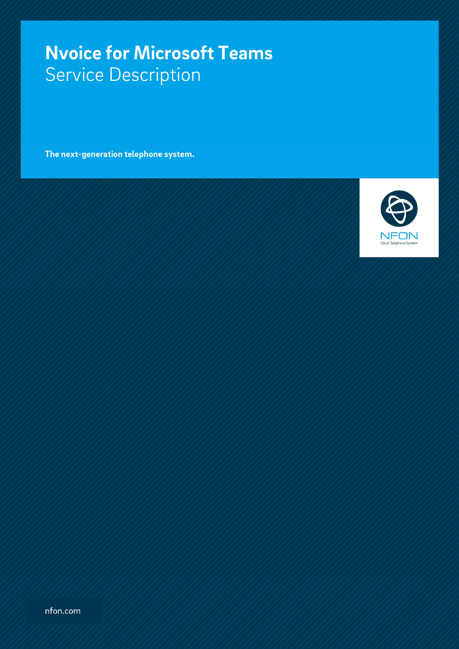# **Nvoice for Microsoft Teams**  Service Description

The next-generation telephone system.

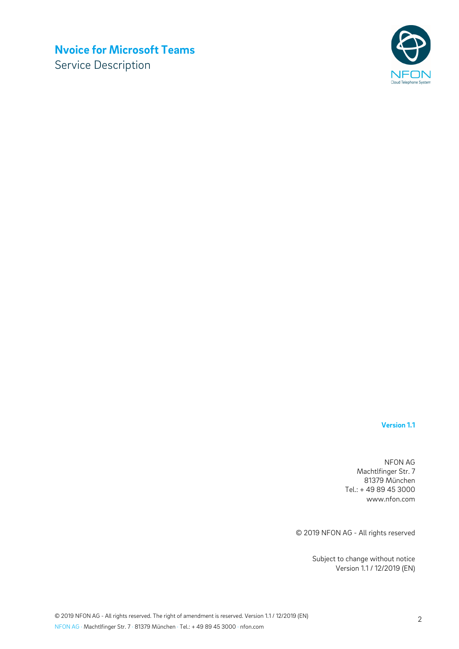# **Nvoice for Microsoft Teams**

Service Description



#### **Version 1.1**

NFON AG Machtlfinger Str. 7 81379 München Tel.: + 49 89 45 3000 www.nfon.com

© 2019 NFON AG - All rights reserved

Subject to change without notice Version 1.1 / 12/2019 (EN)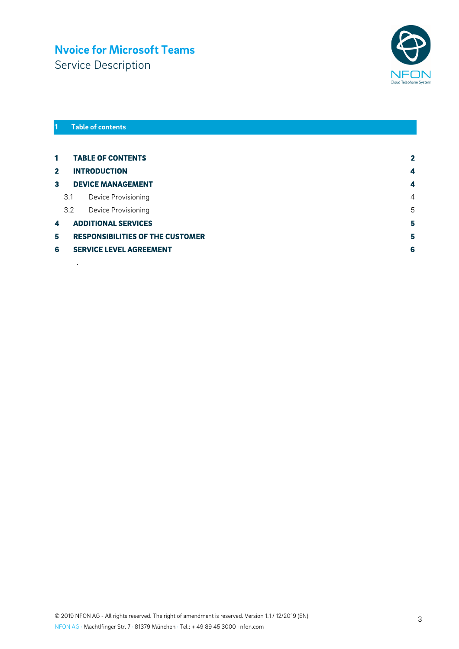# **Nvoice for Microsoft Teams**

Service Description



#### **1 Table of contents**

.

| $\mathbf{1}$ |                                     | <b>TABLE OF CONTENTS</b>                | $\mathbf{2}$ |
|--------------|-------------------------------------|-----------------------------------------|--------------|
| $\mathbf{2}$ |                                     | <b>INTRODUCTION</b>                     | 4            |
| 3            |                                     | <b>DEVICE MANAGEMENT</b>                | 4            |
|              | 3.1                                 | Device Provisioning                     | 4            |
|              | 3.2                                 | Device Provisioning                     | 5            |
| 4            |                                     | 5<br><b>ADDITIONAL SERVICES</b>         |              |
| 5            |                                     | <b>RESPONSIBILITIES OF THE CUSTOMER</b> | 5            |
| 6            | 6<br><b>SERVICE LEVEL AGREEMENT</b> |                                         |              |
|              |                                     |                                         |              |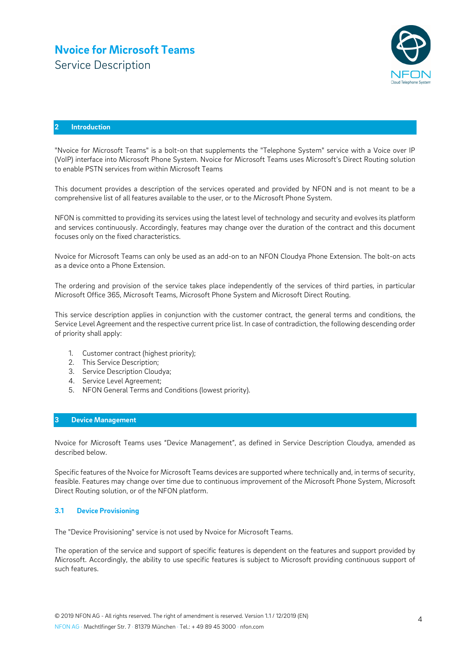### **Nvoice for Microsoft Teams** Service Description



#### **2 Introduction**

"Nvoice for Microsoft Teams" is a bolt-on that supplements the "Telephone System" service with a Voice over IP (VoIP) interface into Microsoft Phone System. Nvoice for Microsoft Teams uses Microsoft's Direct Routing solution to enable PSTN services from within Microsoft Teams

This document provides a description of the services operated and provided by NFON and is not meant to be a comprehensive list of all features available to the user, or to the Microsoft Phone System.

NFON is committed to providing its services using the latest level of technology and security and evolves its platform and services continuously. Accordingly, features may change over the duration of the contract and this document focuses only on the fixed characteristics.

Nvoice for Microsoft Teams can only be used as an add-on to an NFON Cloudya Phone Extension. The bolt-on acts as a device onto a Phone Extension.

The ordering and provision of the service takes place independently of the services of third parties, in particular Microsoft Office 365, Microsoft Teams, Microsoft Phone System and Microsoft Direct Routing.

This service description applies in conjunction with the customer contract, the general terms and conditions, the Service Level Agreement and the respective current price list. In case of contradiction, the following descending order of priority shall apply:

- 1. Customer contract (highest priority);
- 2. This Service Description;
- 3. Service Description Cloudya;
- 4. Service Level Agreement;
- 5. NFON General Terms and Conditions (lowest priority).

#### **3 Device Management**

Nvoice for Microsoft Teams uses "Device Management", as defined in Service Description Cloudya, amended as described below.

Specific features of the Nvoice for Microsoft Teams devices are supported where technically and, in terms of security, feasible. Features may change over time due to continuous improvement of the Microsoft Phone System, Microsoft Direct Routing solution, or of the NFON platform.

#### **3.1 Device Provisioning**

The "Device Provisioning" service is not used by Nvoice for Microsoft Teams.

The operation of the service and support of specific features is dependent on the features and support provided by Microsoft. Accordingly, the ability to use specific features is subject to Microsoft providing continuous support of such features.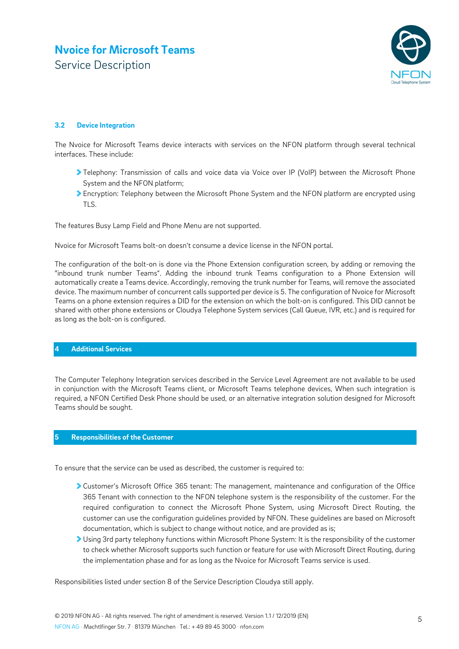# **Nvoice for Microsoft Teams** Service Description



#### **3.2 Device Integration**

The Nvoice for Microsoft Teams device interacts with services on the NFON platform through several technical interfaces. These include:

- Telephony: Transmission of calls and voice data via Voice over IP (VoIP) between the Microsoft Phone System and the NFON platform;
- Encryption: Telephony between the Microsoft Phone System and the NFON platform are encrypted using TLS.

The features Busy Lamp Field and Phone Menu are not supported.

Nvoice for Microsoft Teams bolt-on doesn't consume a device license in the NFON portal.

The configuration of the bolt-on is done via the Phone Extension configuration screen, by adding or removing the "inbound trunk number Teams". Adding the inbound trunk Teams configuration to a Phone Extension will automatically create a Teams device. Accordingly, removing the trunk number for Teams, will remove the associated device. The maximum number of concurrent calls supported per device is 5. The configuration of Nvoice for Microsoft Teams on a phone extension requires a DID for the extension on which the bolt-on is configured. This DID cannot be shared with other phone extensions or Cloudya Telephone System services (Call Queue, IVR, etc.) and is required for as long as the bolt-on is configured.

#### **4 Additional Services**

The Computer Telephony Integration services described in the Service Level Agreement are not available to be used in conjunction with the Microsoft Teams client, or Microsoft Teams telephone devices, When such integration is required, a NFON Certified Desk Phone should be used, or an alternative integration solution designed for Microsoft Teams should be sought.

#### **5 Responsibilities of the Customer**

To ensure that the service can be used as described, the customer is required to:

- Customer's Microsoft Office 365 tenant: The management, maintenance and configuration of the Office 365 Tenant with connection to the NFON telephone system is the responsibility of the customer. For the required configuration to connect the Microsoft Phone System, using Microsoft Direct Routing, the customer can use the configuration guidelines provided by NFON. These guidelines are based on Microsoft documentation, which is subject to change without notice, and are provided as is;
- Using 3rd party telephony functions within Microsoft Phone System: It is the responsibility of the customer to check whether Microsoft supports such function or feature for use with Microsoft Direct Routing, during the implementation phase and for as long as the Nvoice for Microsoft Teams service is used.

Responsibilities listed under section 8 of the Service Description Cloudya still apply.